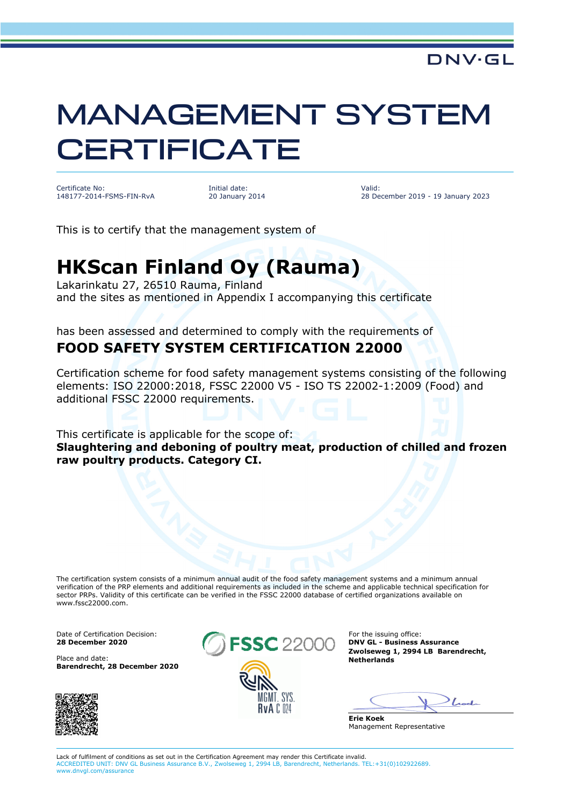## MANAGEMENT SYSTEM **CERTIFICATE**

Certificate No: 148177-2014-FSMS-FIN-RvA Initial date: 20 January 2014 Valid: 28 December 2019 - 19 January 2023

This is to certify that the management system of

## **HKScan Finland Oy (Rauma)**

Lakarinkatu 27, 26510 Rauma, Finland and the sites as mentioned in Appendix I accompanying this certificate

has been assessed and determined to comply with the requirements of **FOOD SAFETY SYSTEM CERTIFICATION 22000**

Certification scheme for food safety management systems consisting of the following elements: ISO 22000:2018, FSSC 22000 V5 - ISO TS 22002-1:2009 (Food) and additional FSSC 22000 requirements.

This certificate is applicable for the scope of: **Slaughtering and deboning of poultry meat, production of chilled and frozen raw poultry products. Category CI.**

The certification system consists of a minimum annual audit of the food safety management systems and a minimum annual verification of the PRP elements and additional requirements as included in the scheme and applicable technical specification for sector PRPs. Validity of this certificate can be verified in the FSSC 22000 database of certified organizations available on www.fssc22000.com.

**Barendrecht, 28 December 2020**





**Zwolseweg 1, 2994 LB Barendrecht,** 

Look

**Erie Koek** Management Representative

Lack of fulfilment of conditions as set out in the Certification Agreement may render this Certificate invalid. ACCREDITED UNIT: DNV GL Business Assurance B.V., Zwolseweg 1, 2994 LB, Barendrecht, Netherlands. TEL:+31(0)102922689. www.dnvgl.com/assurance